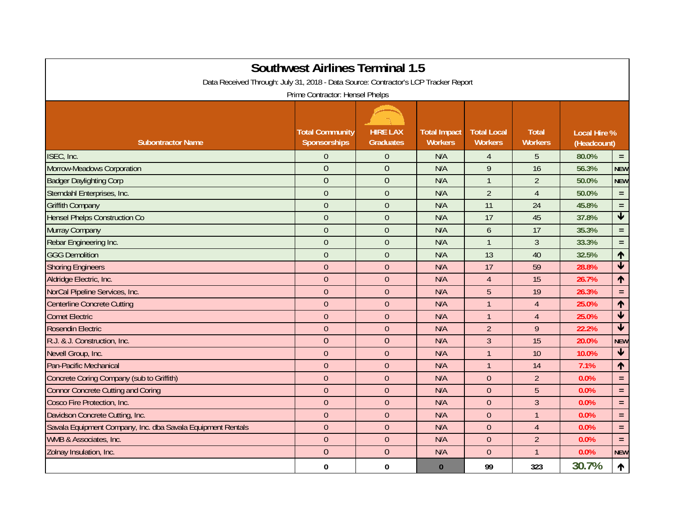| <b>Southwest Airlines Terminal 1.5</b><br>Data Received Through: July 31, 2018 - Data Source: Contractor's LCP Tracker Report<br>Prime Contractor: Hensel Phelps |                |                |          |                |                |       |                            |  |  |  |  |
|------------------------------------------------------------------------------------------------------------------------------------------------------------------|----------------|----------------|----------|----------------|----------------|-------|----------------------------|--|--|--|--|
|                                                                                                                                                                  |                |                |          |                |                |       |                            |  |  |  |  |
| ISEC, Inc.                                                                                                                                                       | $\overline{0}$ | $\theta$       | N/A      | $\overline{4}$ | 5              | 80.0% | $=$ .                      |  |  |  |  |
| Morrow-Meadows Corporation                                                                                                                                       | $\overline{0}$ | $\overline{0}$ | N/A      | 9              | 16             | 56.3% | <b>NEW</b>                 |  |  |  |  |
| <b>Badger Daylighting Corp</b>                                                                                                                                   | $\overline{0}$ | $\overline{0}$ | N/A      | $\overline{1}$ | $\overline{2}$ | 50.0% | <b>NEW</b>                 |  |  |  |  |
| Sterndahl Enterprises, Inc.                                                                                                                                      | $\overline{0}$ | $\theta$       | N/A      | $\overline{2}$ | $\overline{4}$ | 50.0% | $\equiv$                   |  |  |  |  |
| <b>Griffith Company</b>                                                                                                                                          | $\overline{0}$ | $\overline{0}$ | N/A      | 11             | 24             | 45.8% | $=$                        |  |  |  |  |
| <b>Hensel Phelps Construction Co</b>                                                                                                                             | $\overline{0}$ | $\overline{0}$ | N/A      | 17             | 45             | 37.8% | $\blacklozenge$            |  |  |  |  |
| Murray Company                                                                                                                                                   | $\overline{0}$ | $\overline{0}$ | N/A      | $\overline{6}$ | 17             | 35.3% | $=$                        |  |  |  |  |
| Rebar Engineering Inc.                                                                                                                                           | $\overline{0}$ | $\overline{0}$ | N/A      | $\overline{1}$ | $\mathfrak{Z}$ | 33.3% | $=$                        |  |  |  |  |
| <b>GGG Demolition</b>                                                                                                                                            | $\overline{0}$ | $\overline{0}$ | N/A      | 13             | 40             | 32.5% | 个                          |  |  |  |  |
| <b>Shoring Engineers</b>                                                                                                                                         | $\overline{0}$ | $\theta$       | N/A      | 17             | 59             | 28.8% | $\overline{\blacklozenge}$ |  |  |  |  |
| Aldridge Electric, Inc.                                                                                                                                          | $\overline{0}$ | $\overline{0}$ | N/A      | $\overline{4}$ | 15             | 26.7% | 个                          |  |  |  |  |
| NorCal Pipeline Services, Inc.                                                                                                                                   | $\overline{0}$ | $\overline{0}$ | N/A      | 5              | 19             | 26.3% | $\equiv$                   |  |  |  |  |
| <b>Centerline Concrete Cutting</b>                                                                                                                               | $\overline{0}$ | $\theta$       | N/A      | $\overline{1}$ | $\overline{4}$ | 25.0% | 个                          |  |  |  |  |
| <b>Comet Electric</b>                                                                                                                                            | $\overline{0}$ | $\overline{0}$ | N/A      | $\mathbf{1}$   | $\overline{4}$ | 25.0% | $\overline{\mathbf{V}}$    |  |  |  |  |
| Rosendin Electric                                                                                                                                                | $\overline{0}$ | $\mathbf{0}$   | N/A      | $\overline{2}$ | 9              | 22.2% | $\blacklozenge$            |  |  |  |  |
| R.J. & J. Construction, Inc.                                                                                                                                     | $\overline{0}$ | $\overline{0}$ | N/A      | $\overline{3}$ | 15             | 20.0% | <b>NEW</b>                 |  |  |  |  |
| Nevell Group, Inc.                                                                                                                                               | $\overline{0}$ | $\overline{0}$ | N/A      | $\overline{1}$ | 10             | 10.0% | $\blacklozenge$            |  |  |  |  |
| Pan-Pacific Mechanical                                                                                                                                           | $\overline{0}$ | $\overline{0}$ | N/A      | $\overline{1}$ | 14             | 7.1%  | 个                          |  |  |  |  |
| Concrete Coring Company (sub to Griffith)                                                                                                                        | $\overline{0}$ | $\overline{0}$ | N/A      | $\overline{0}$ | $\overline{2}$ | 0.0%  | $=$                        |  |  |  |  |
| <b>Connor Concrete Cutting and Coring</b>                                                                                                                        | $\overline{0}$ | $\overline{0}$ | N/A      | $\overline{0}$ | 5              | 0.0%  | $\equiv$                   |  |  |  |  |
| Cosco Fire Protection, Inc.                                                                                                                                      | $\overline{0}$ | $\overline{0}$ | N/A      | $\overline{0}$ | $\overline{3}$ | 0.0%  | $=$                        |  |  |  |  |
| Davidson Concrete Cutting, Inc.                                                                                                                                  | $\overline{0}$ | $\overline{0}$ | N/A      | $\theta$       | $\mathbf{1}$   | 0.0%  | $=$ .                      |  |  |  |  |
| Savala Equipment Company, Inc. dba Savala Equipment Rentals                                                                                                      | $\overline{0}$ | $\overline{0}$ | N/A      | $\theta$       | $\overline{4}$ | 0.0%  | $=$                        |  |  |  |  |
| WMB & Associates, Inc.                                                                                                                                           | $\overline{0}$ | $\mathbf{0}$   | N/A      | $\mathbf{0}$   | $\overline{2}$ | 0.0%  | $=$ .                      |  |  |  |  |
| Zolnay Insulation, Inc.                                                                                                                                          | $\overline{0}$ | $\overline{0}$ | N/A      | $\overline{0}$ | $\mathbf{1}$   | 0.0%  | <b>NEW</b>                 |  |  |  |  |
|                                                                                                                                                                  | $\bf{0}$       | $\mathbf{0}$   | $\bf{0}$ | 99             | 323            | 30.7% | 个                          |  |  |  |  |